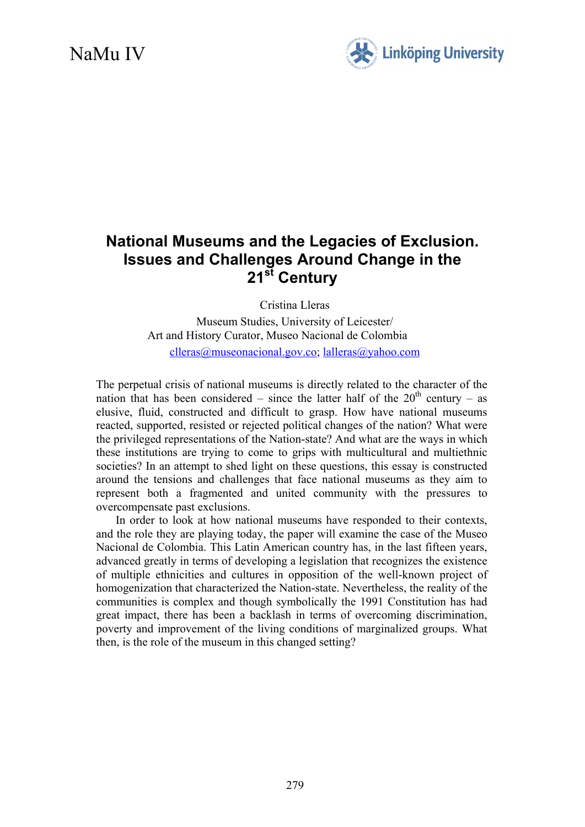# NaMu IV



## **National Museums and the Legacies of Exclusion. Issues and Challenges Around Change in the 21st Century**

Cristina Lleras

Museum Studies, University of Leicester/ Art and History Curator, Museo Nacional de Colombia [clleras@museonacional.gov.co;](mailto:clleras@museonacional.gov.co) [lalleras@yahoo.com](mailto:lalleras@yahoo.com)

The perpetual crisis of national museums is directly related to the character of the nation that has been considered – since the latter half of the  $20<sup>th</sup>$  century – as elusive, fluid, constructed and difficult to grasp. How have national museums reacted, supported, resisted or rejected political changes of the nation? What were the privileged representations of the Nation-state? And what are the ways in which these institutions are trying to come to grips with multicultural and multiethnic societies? In an attempt to shed light on these questions, this essay is constructed around the tensions and challenges that face national museums as they aim to represent both a fragmented and united community with the pressures to overcompensate past exclusions.

In order to look at how national museums have responded to their contexts, and the role they are playing today, the paper will examine the case of the Museo Nacional de Colombia. This Latin American country has, in the last fifteen years, advanced greatly in terms of developing a legislation that recognizes the existence of multiple ethnicities and cultures in opposition of the well-known project of homogenization that characterized the Nation-state. Nevertheless, the reality of the communities is complex and though symbolically the 1991 Constitution has had great impact, there has been a backlash in terms of overcoming discrimination, poverty and improvement of the living conditions of marginalized groups. What then, is the role of the museum in this changed setting?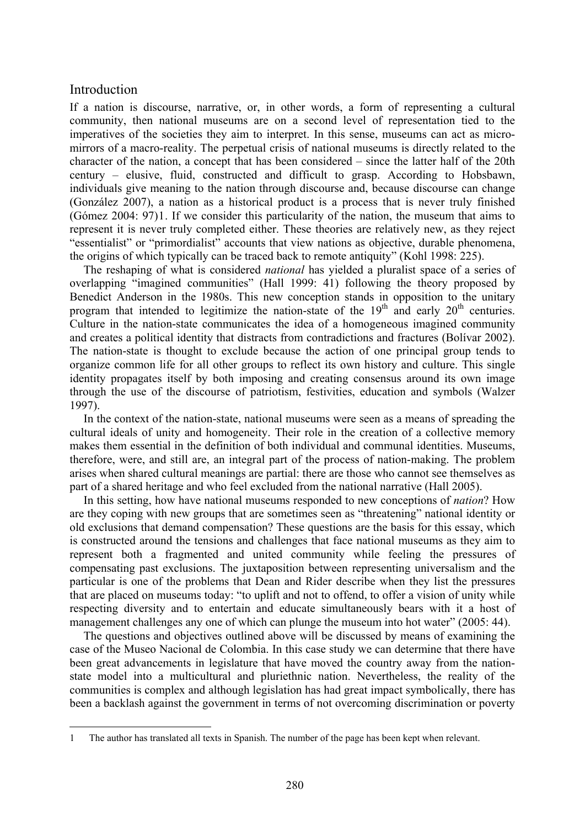## Introduction

1

If a nation is discourse, narrative, or, in other words, a form of representing a cultural community, then national museums are on a second level of representation tied to the imperatives of the societies they aim to interpret. In this sense, museums can act as micromirrors of a macro-reality. The perpetual crisis of national museums is directly related to the character of the nation, a concept that has been considered – since the latter half of the 20th century – elusive, fluid, constructed and difficult to grasp. According to Hobsbawn, individuals give meaning to the nation through discourse and, because discourse can change (González 2007), a nation as a historical product is a process that is never truly finished (Gómez 2004: 97)[1](#page-1-0). If we consider this particularity of the nation, the museum that aims to represent it is never truly completed either. These theories are relatively new, as they reject "essentialist" or "primordialist" accounts that view nations as objective, durable phenomena, the origins of which typically can be traced back to remote antiquity" (Kohl 1998: 225).

The reshaping of what is considered *national* has yielded a pluralist space of a series of overlapping "imagined communities" (Hall 1999: 41) following the theory proposed by Benedict Anderson in the 1980s. This new conception stands in opposition to the unitary program that intended to legitimize the nation-state of the  $19<sup>th</sup>$  and early  $20<sup>th</sup>$  centuries. Culture in the nation-state communicates the idea of a homogeneous imagined community and creates a political identity that distracts from contradictions and fractures (Bolívar 2002). The nation-state is thought to exclude because the action of one principal group tends to organize common life for all other groups to reflect its own history and culture. This single identity propagates itself by both imposing and creating consensus around its own image through the use of the discourse of patriotism, festivities, education and symbols (Walzer 1997).

In the context of the nation-state, national museums were seen as a means of spreading the cultural ideals of unity and homogeneity. Their role in the creation of a collective memory makes them essential in the definition of both individual and communal identities. Museums, therefore, were, and still are, an integral part of the process of nation-making. The problem arises when shared cultural meanings are partial: there are those who cannot see themselves as part of a shared heritage and who feel excluded from the national narrative (Hall 2005).

In this setting, how have national museums responded to new conceptions of *nation*? How are they coping with new groups that are sometimes seen as "threatening" national identity or old exclusions that demand compensation? These questions are the basis for this essay, which is constructed around the tensions and challenges that face national museums as they aim to represent both a fragmented and united community while feeling the pressures of compensating past exclusions. The juxtaposition between representing universalism and the particular is one of the problems that Dean and Rider describe when they list the pressures that are placed on museums today: "to uplift and not to offend, to offer a vision of unity while respecting diversity and to entertain and educate simultaneously bears with it a host of management challenges any one of which can plunge the museum into hot water" (2005: 44).

The questions and objectives outlined above will be discussed by means of examining the case of the Museo Nacional de Colombia. In this case study we can determine that there have been great advancements in legislature that have moved the country away from the nationstate model into a multicultural and pluriethnic nation. Nevertheless, the reality of the communities is complex and although legislation has had great impact symbolically, there has been a backlash against the government in terms of not overcoming discrimination or poverty

<span id="page-1-0"></span><sup>1</sup> The author has translated all texts in Spanish. The number of the page has been kept when relevant.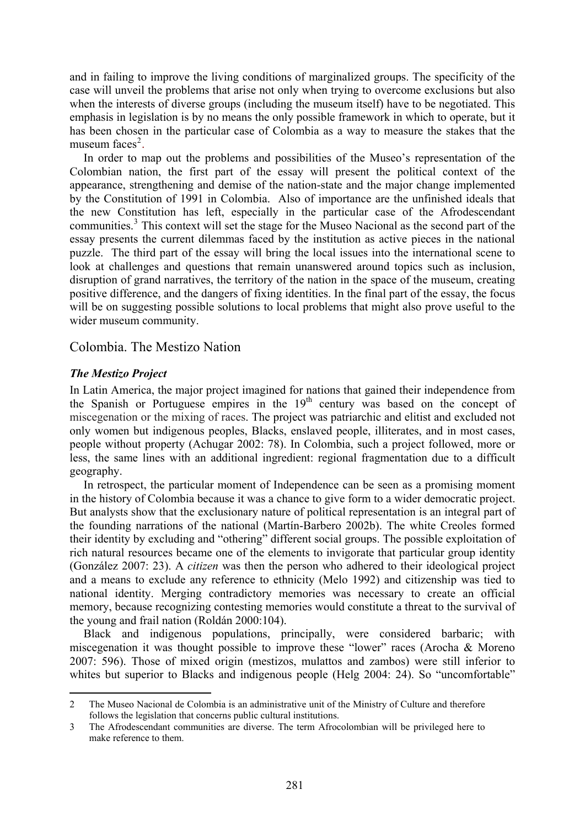and in failing to improve the living conditions of marginalized groups. The specificity of the case will unveil the problems that arise not only when trying to overcome exclusions but also when the interests of diverse groups (including the museum itself) have to be negotiated. This emphasis in legislation is by no means the only possible framework in which to operate, but it has been chosen in the particular case of Colombia as a way to measure the stakes that the museum faces $2$ .

In order to map out the problems and possibilities of the Museo's representation of the Colombian nation, the first part of the essay will present the political context of the appearance, strengthening and demise of the nation-state and the major change implemented by the Constitution of 1991 in Colombia. Also of importance are the unfinished ideals that the new Constitution has left, especially in the particular case of the Afrodescendant communities.<sup>[3](#page-2-1)</sup> This context will set the stage for the Museo Nacional as the second part of the essay presents the current dilemmas faced by the institution as active pieces in the national puzzle. The third part of the essay will bring the local issues into the international scene to look at challenges and questions that remain unanswered around topics such as inclusion, disruption of grand narratives, the territory of the nation in the space of the museum, creating positive difference, and the dangers of fixing identities. In the final part of the essay, the focus will be on suggesting possible solutions to local problems that might also prove useful to the wider museum community.

## Colombia. The Mestizo Nation

## *The Mestizo Project*

1

In Latin America, the major project imagined for nations that gained their independence from the Spanish or Portuguese empires in the  $19<sup>th</sup>$  century was based on the concept of miscegenation or the mixing of races. The project was patriarchic and elitist and excluded not only women but indigenous peoples, Blacks, enslaved people, illiterates, and in most cases, people without property (Achugar 2002: 78). In Colombia, such a project followed, more or less, the same lines with an additional ingredient: regional fragmentation due to a difficult geography.

In retrospect, the particular moment of Independence can be seen as a promising moment in the history of Colombia because it was a chance to give form to a wider democratic project. But analysts show that the exclusionary nature of political representation is an integral part of the founding narrations of the national (Martín-Barbero 2002b). The white Creoles formed their identity by excluding and "othering" different social groups. The possible exploitation of rich natural resources became one of the elements to invigorate that particular group identity (González 2007: 23). A *citizen* was then the person who adhered to their ideological project and a means to exclude any reference to ethnicity (Melo 1992) and citizenship was tied to national identity. Merging contradictory memories was necessary to create an official memory, because recognizing contesting memories would constitute a threat to the survival of the young and frail nation (Roldán 2000:104).

Black and indigenous populations, principally, were considered barbaric; with miscegenation it was thought possible to improve these "lower" races (Arocha & Moreno 2007: 596). Those of mixed origin (mestizos, mulattos and zambos) were still inferior to whites but superior to Blacks and indigenous people (Helg 2004: 24). So "uncomfortable"

<span id="page-2-0"></span><sup>2</sup> The Museo Nacional de Colombia is an administrative unit of the Ministry of Culture and therefore follows the legislation that concerns public cultural institutions.

<span id="page-2-1"></span><sup>3</sup> The Afrodescendant communities are diverse. The term Afrocolombian will be privileged here to make reference to them.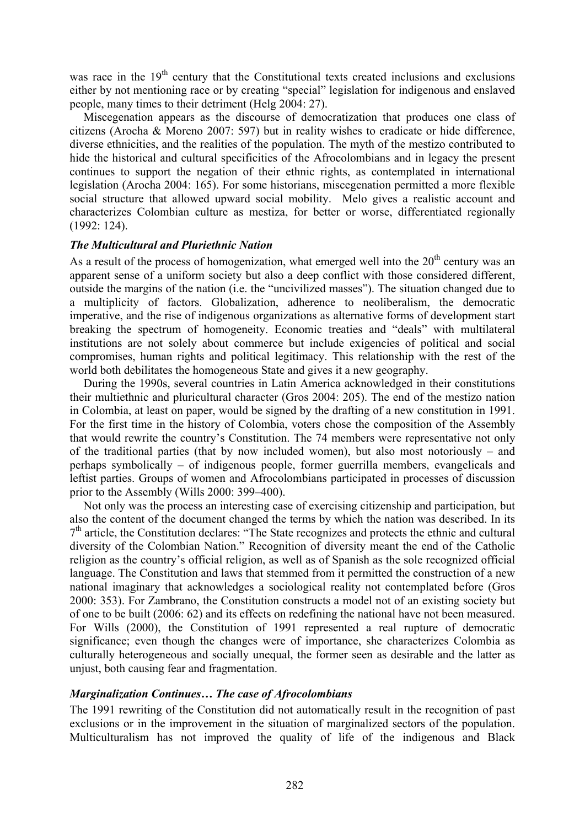was race in the  $19<sup>th</sup>$  century that the Constitutional texts created inclusions and exclusions either by not mentioning race or by creating "special" legislation for indigenous and enslaved people, many times to their detriment (Helg 2004: 27).

Miscegenation appears as the discourse of democratization that produces one class of citizens (Arocha & Moreno 2007: 597) but in reality wishes to eradicate or hide difference, diverse ethnicities, and the realities of the population. The myth of the mestizo contributed to hide the historical and cultural specificities of the Afrocolombians and in legacy the present continues to support the negation of their ethnic rights, as contemplated in international legislation (Arocha 2004: 165). For some historians, miscegenation permitted a more flexible social structure that allowed upward social mobility. Melo gives a realistic account and characterizes Colombian culture as mestiza, for better or worse, differentiated regionally (1992: 124).

#### *The Multicultural and Pluriethnic Nation*

As a result of the process of homogenization, what emerged well into the  $20<sup>th</sup>$  century was an apparent sense of a uniform society but also a deep conflict with those considered different, outside the margins of the nation (i.e. the "uncivilized masses"). The situation changed due to a multiplicity of factors. Globalization, adherence to neoliberalism, the democratic imperative, and the rise of indigenous organizations as alternative forms of development start breaking the spectrum of homogeneity. Economic treaties and "deals" with multilateral institutions are not solely about commerce but include exigencies of political and social compromises, human rights and political legitimacy. This relationship with the rest of the world both debilitates the homogeneous State and gives it a new geography.

During the 1990s, several countries in Latin America acknowledged in their constitutions their multiethnic and pluricultural character (Gros 2004: 205). The end of the mestizo nation in Colombia, at least on paper, would be signed by the drafting of a new constitution in 1991. For the first time in the history of Colombia, voters chose the composition of the Assembly that would rewrite the country's Constitution. The 74 members were representative not only of the traditional parties (that by now included women), but also most notoriously – and perhaps symbolically – of indigenous people, former guerrilla members, evangelicals and leftist parties. Groups of women and Afrocolombians participated in processes of discussion prior to the Assembly (Wills 2000: 399–400).

Not only was the process an interesting case of exercising citizenship and participation, but also the content of the document changed the terms by which the nation was described. In its  $7<sup>th</sup>$  article, the Constitution declares: "The State recognizes and protects the ethnic and cultural diversity of the Colombian Nation." Recognition of diversity meant the end of the Catholic religion as the country's official religion, as well as of Spanish as the sole recognized official language. The Constitution and laws that stemmed from it permitted the construction of a new national imaginary that acknowledges a sociological reality not contemplated before (Gros 2000: 353). For Zambrano, the Constitution constructs a model not of an existing society but of one to be built (2006: 62) and its effects on redefining the national have not been measured. For Wills (2000), the Constitution of 1991 represented a real rupture of democratic significance; even though the changes were of importance, she characterizes Colombia as culturally heterogeneous and socially unequal, the former seen as desirable and the latter as unjust, both causing fear and fragmentation.

#### *Marginalization Continues… The case of Afrocolombians*

The 1991 rewriting of the Constitution did not automatically result in the recognition of past exclusions or in the improvement in the situation of marginalized sectors of the population. Multiculturalism has not improved the quality of life of the indigenous and Black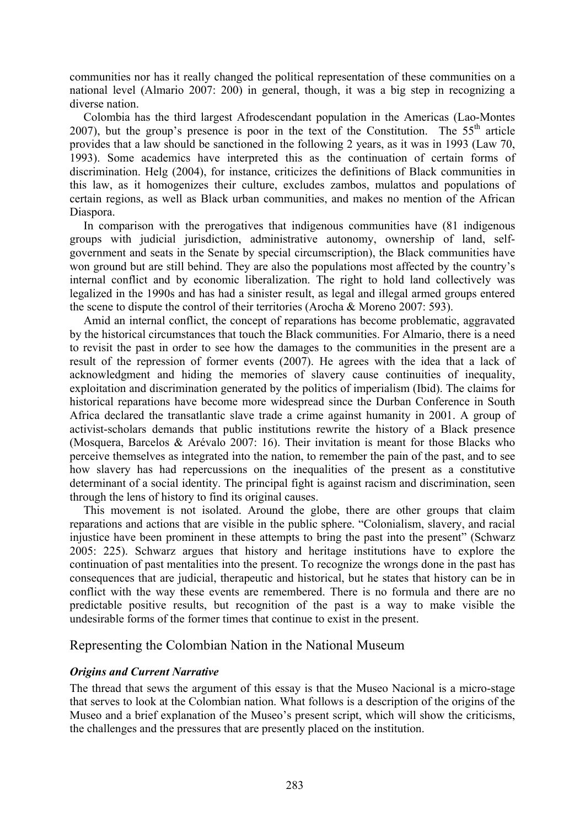communities nor has it really changed the political representation of these communities on a national level (Almario 2007: 200) in general, though, it was a big step in recognizing a diverse nation.

Colombia has the third largest Afrodescendant population in the Americas (Lao-Montes 2007), but the group's presence is poor in the text of the Constitution. The  $55<sup>th</sup>$  article provides that a law should be sanctioned in the following 2 years, as it was in 1993 (Law 70, 1993). Some academics have interpreted this as the continuation of certain forms of discrimination. Helg (2004), for instance, criticizes the definitions of Black communities in this law, as it homogenizes their culture, excludes zambos, mulattos and populations of certain regions, as well as Black urban communities, and makes no mention of the African Diaspora.

In comparison with the prerogatives that indigenous communities have (81 indigenous groups with judicial jurisdiction, administrative autonomy, ownership of land, selfgovernment and seats in the Senate by special circumscription), the Black communities have won ground but are still behind. They are also the populations most affected by the country's internal conflict and by economic liberalization. The right to hold land collectively was legalized in the 1990s and has had a sinister result, as legal and illegal armed groups entered the scene to dispute the control of their territories (Arocha & Moreno 2007: 593).

Amid an internal conflict, the concept of reparations has become problematic, aggravated by the historical circumstances that touch the Black communities. For Almario, there is a need to revisit the past in order to see how the damages to the communities in the present are a result of the repression of former events (2007). He agrees with the idea that a lack of acknowledgment and hiding the memories of slavery cause continuities of inequality, exploitation and discrimination generated by the politics of imperialism (Ibid). The claims for historical reparations have become more widespread since the Durban Conference in South Africa declared the transatlantic slave trade a crime against humanity in 2001. A group of activist-scholars demands that public institutions rewrite the history of a Black presence (Mosquera, Barcelos & Arévalo 2007: 16). Their invitation is meant for those Blacks who perceive themselves as integrated into the nation, to remember the pain of the past, and to see how slavery has had repercussions on the inequalities of the present as a constitutive determinant of a social identity. The principal fight is against racism and discrimination, seen through the lens of history to find its original causes.

This movement is not isolated. Around the globe, there are other groups that claim reparations and actions that are visible in the public sphere. "Colonialism, slavery, and racial injustice have been prominent in these attempts to bring the past into the present" (Schwarz 2005: 225). Schwarz argues that history and heritage institutions have to explore the continuation of past mentalities into the present. To recognize the wrongs done in the past has consequences that are judicial, therapeutic and historical, but he states that history can be in conflict with the way these events are remembered. There is no formula and there are no predictable positive results, but recognition of the past is a way to make visible the undesirable forms of the former times that continue to exist in the present.

## Representing the Colombian Nation in the National Museum

#### *Origins and Current Narrative*

The thread that sews the argument of this essay is that the Museo Nacional is a micro-stage that serves to look at the Colombian nation. What follows is a description of the origins of the Museo and a brief explanation of the Museo's present script, which will show the criticisms, the challenges and the pressures that are presently placed on the institution.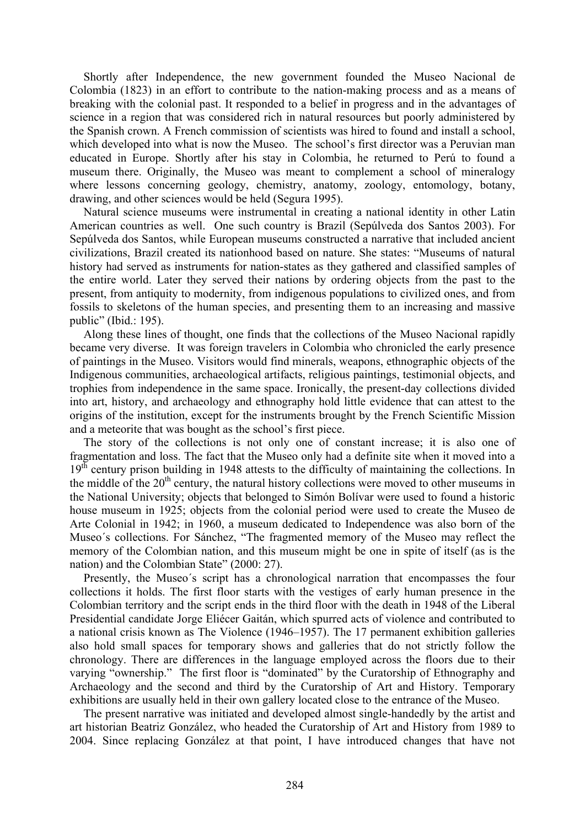Shortly after Independence, the new government founded the Museo Nacional de Colombia (1823) in an effort to contribute to the nation-making process and as a means of breaking with the colonial past. It responded to a belief in progress and in the advantages of science in a region that was considered rich in natural resources but poorly administered by the Spanish crown. A French commission of scientists was hired to found and install a school, which developed into what is now the Museo. The school's first director was a Peruvian man educated in Europe. Shortly after his stay in Colombia, he returned to Perú to found a museum there. Originally, the Museo was meant to complement a school of mineralogy where lessons concerning geology, chemistry, anatomy, zoology, entomology, botany, drawing, and other sciences would be held (Segura 1995).

Natural science museums were instrumental in creating a national identity in other Latin American countries as well. One such country is Brazil (Sepúlveda dos Santos 2003). For Sepúlveda dos Santos, while European museums constructed a narrative that included ancient civilizations, Brazil created its nationhood based on nature. She states: "Museums of natural history had served as instruments for nation-states as they gathered and classified samples of the entire world. Later they served their nations by ordering objects from the past to the present, from antiquity to modernity, from indigenous populations to civilized ones, and from fossils to skeletons of the human species, and presenting them to an increasing and massive public" (Ibid.: 195).

Along these lines of thought, one finds that the collections of the Museo Nacional rapidly became very diverse. It was foreign travelers in Colombia who chronicled the early presence of paintings in the Museo. Visitors would find minerals, weapons, ethnographic objects of the Indigenous communities, archaeological artifacts, religious paintings, testimonial objects, and trophies from independence in the same space. Ironically, the present-day collections divided into art, history, and archaeology and ethnography hold little evidence that can attest to the origins of the institution, except for the instruments brought by the French Scientific Mission and a meteorite that was bought as the school's first piece.

The story of the collections is not only one of constant increase; it is also one of fragmentation and loss. The fact that the Museo only had a definite site when it moved into a  $19<sup>th</sup>$  century prison building in 1948 attests to the difficulty of maintaining the collections. In the middle of the  $20<sup>th</sup>$  century, the natural history collections were moved to other museums in the National University; objects that belonged to Simón Bolívar were used to found a historic house museum in 1925; objects from the colonial period were used to create the Museo de Arte Colonial in 1942; in 1960, a museum dedicated to Independence was also born of the Museo´s collections. For Sánchez, "The fragmented memory of the Museo may reflect the memory of the Colombian nation, and this museum might be one in spite of itself (as is the nation) and the Colombian State" (2000: 27).

Presently, the Museo´s script has a chronological narration that encompasses the four collections it holds. The first floor starts with the vestiges of early human presence in the Colombian territory and the script ends in the third floor with the death in 1948 of the Liberal Presidential candidate Jorge Eliécer Gaitán, which spurred acts of violence and contributed to a national crisis known as The Violence (1946–1957). The 17 permanent exhibition galleries also hold small spaces for temporary shows and galleries that do not strictly follow the chronology. There are differences in the language employed across the floors due to their varying "ownership." The first floor is "dominated" by the Curatorship of Ethnography and Archaeology and the second and third by the Curatorship of Art and History. Temporary exhibitions are usually held in their own gallery located close to the entrance of the Museo.

The present narrative was initiated and developed almost single-handedly by the artist and art historian Beatriz González, who headed the Curatorship of Art and History from 1989 to 2004. Since replacing González at that point, I have introduced changes that have not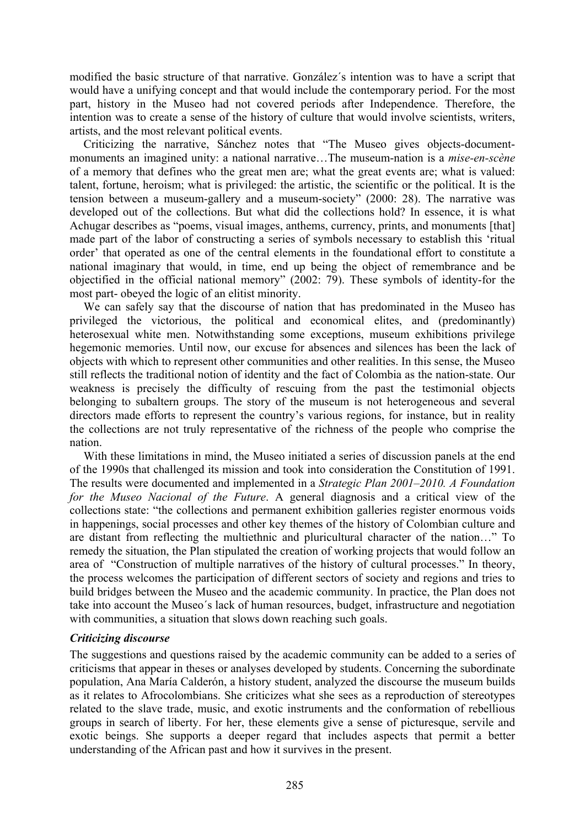modified the basic structure of that narrative. González´s intention was to have a script that would have a unifying concept and that would include the contemporary period. For the most part, history in the Museo had not covered periods after Independence. Therefore, the intention was to create a sense of the history of culture that would involve scientists, writers, artists, and the most relevant political events.

Criticizing the narrative, Sánchez notes that "The Museo gives objects-documentmonuments an imagined unity: a national narrative…The museum-nation is a *mise-en-scène* of a memory that defines who the great men are; what the great events are; what is valued: talent, fortune, heroism; what is privileged: the artistic, the scientific or the political. It is the tension between a museum-gallery and a museum-society" (2000: 28). The narrative was developed out of the collections. But what did the collections hold? In essence, it is what Achugar describes as "poems, visual images, anthems, currency, prints, and monuments [that] made part of the labor of constructing a series of symbols necessary to establish this 'ritual order' that operated as one of the central elements in the foundational effort to constitute a national imaginary that would, in time, end up being the object of remembrance and be objectified in the official national memory" (2002: 79). These symbols of identity-for the most part- obeyed the logic of an elitist minority.

We can safely say that the discourse of nation that has predominated in the Museo has privileged the victorious, the political and economical elites, and (predominantly) heterosexual white men. Notwithstanding some exceptions, museum exhibitions privilege hegemonic memories. Until now, our excuse for absences and silences has been the lack of objects with which to represent other communities and other realities. In this sense, the Museo still reflects the traditional notion of identity and the fact of Colombia as the nation-state. Our weakness is precisely the difficulty of rescuing from the past the testimonial objects belonging to subaltern groups. The story of the museum is not heterogeneous and several directors made efforts to represent the country's various regions, for instance, but in reality the collections are not truly representative of the richness of the people who comprise the nation.

With these limitations in mind, the Museo initiated a series of discussion panels at the end of the 1990s that challenged its mission and took into consideration the Constitution of 1991. The results were documented and implemented in a *Strategic Plan 2001–2010. A Foundation for the Museo Nacional of the Future*. A general diagnosis and a critical view of the collections state: "the collections and permanent exhibition galleries register enormous voids in happenings, social processes and other key themes of the history of Colombian culture and are distant from reflecting the multiethnic and pluricultural character of the nation…" To remedy the situation, the Plan stipulated the creation of working projects that would follow an area of "Construction of multiple narratives of the history of cultural processes." In theory, the process welcomes the participation of different sectors of society and regions and tries to build bridges between the Museo and the academic community. In practice, the Plan does not take into account the Museo´s lack of human resources, budget, infrastructure and negotiation with communities, a situation that slows down reaching such goals.

## *Criticizing discourse*

The suggestions and questions raised by the academic community can be added to a series of criticisms that appear in theses or analyses developed by students. Concerning the subordinate population, Ana María Calderón, a history student, analyzed the discourse the museum builds as it relates to Afrocolombians. She criticizes what she sees as a reproduction of stereotypes related to the slave trade, music, and exotic instruments and the conformation of rebellious groups in search of liberty. For her, these elements give a sense of picturesque, servile and exotic beings. She supports a deeper regard that includes aspects that permit a better understanding of the African past and how it survives in the present.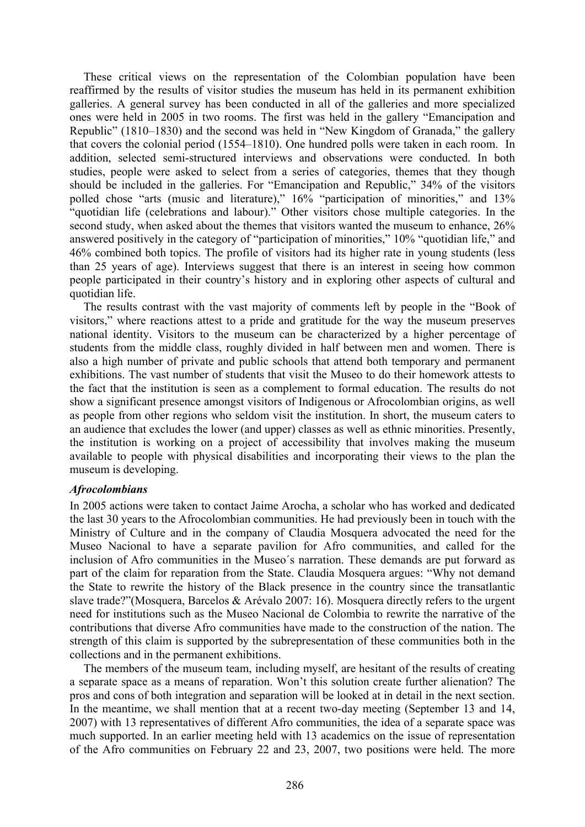These critical views on the representation of the Colombian population have been reaffirmed by the results of visitor studies the museum has held in its permanent exhibition galleries. A general survey has been conducted in all of the galleries and more specialized ones were held in 2005 in two rooms. The first was held in the gallery "Emancipation and Republic" (1810–1830) and the second was held in "New Kingdom of Granada," the gallery that covers the colonial period (1554–1810). One hundred polls were taken in each room. In addition, selected semi-structured interviews and observations were conducted. In both studies, people were asked to select from a series of categories, themes that they though should be included in the galleries. For "Emancipation and Republic," 34% of the visitors polled chose "arts (music and literature),"  $16\%$  "participation of minorities," and 13% "quotidian life (celebrations and labour)." Other visitors chose multiple categories. In the second study, when asked about the themes that visitors wanted the museum to enhance, 26% answered positively in the category of "participation of minorities," 10% "quotidian life," and 46% combined both topics. The profile of visitors had its higher rate in young students (less than 25 years of age). Interviews suggest that there is an interest in seeing how common people participated in their country's history and in exploring other aspects of cultural and quotidian life.

The results contrast with the vast majority of comments left by people in the "Book of visitors," where reactions attest to a pride and gratitude for the way the museum preserves national identity. Visitors to the museum can be characterized by a higher percentage of students from the middle class, roughly divided in half between men and women. There is also a high number of private and public schools that attend both temporary and permanent exhibitions. The vast number of students that visit the Museo to do their homework attests to the fact that the institution is seen as a complement to formal education. The results do not show a significant presence amongst visitors of Indigenous or Afrocolombian origins, as well as people from other regions who seldom visit the institution. In short, the museum caters to an audience that excludes the lower (and upper) classes as well as ethnic minorities. Presently, the institution is working on a project of accessibility that involves making the museum available to people with physical disabilities and incorporating their views to the plan the museum is developing.

#### *Afrocolombians*

In 2005 actions were taken to contact Jaime Arocha, a scholar who has worked and dedicated the last 30 years to the Afrocolombian communities. He had previously been in touch with the Ministry of Culture and in the company of Claudia Mosquera advocated the need for the Museo Nacional to have a separate pavilion for Afro communities, and called for the inclusion of Afro communities in the Museo´s narration. These demands are put forward as part of the claim for reparation from the State. Claudia Mosquera argues: "Why not demand the State to rewrite the history of the Black presence in the country since the transatlantic slave trade?"(Mosquera, Barcelos & Arévalo 2007: 16). Mosquera directly refers to the urgent need for institutions such as the Museo Nacional de Colombia to rewrite the narrative of the contributions that diverse Afro communities have made to the construction of the nation. The strength of this claim is supported by the subrepresentation of these communities both in the collections and in the permanent exhibitions.

The members of the museum team, including myself, are hesitant of the results of creating a separate space as a means of reparation. Won't this solution create further alienation? The pros and cons of both integration and separation will be looked at in detail in the next section. In the meantime, we shall mention that at a recent two-day meeting (September 13 and 14, 2007) with 13 representatives of different Afro communities, the idea of a separate space was much supported. In an earlier meeting held with 13 academics on the issue of representation of the Afro communities on February 22 and 23, 2007, two positions were held. The more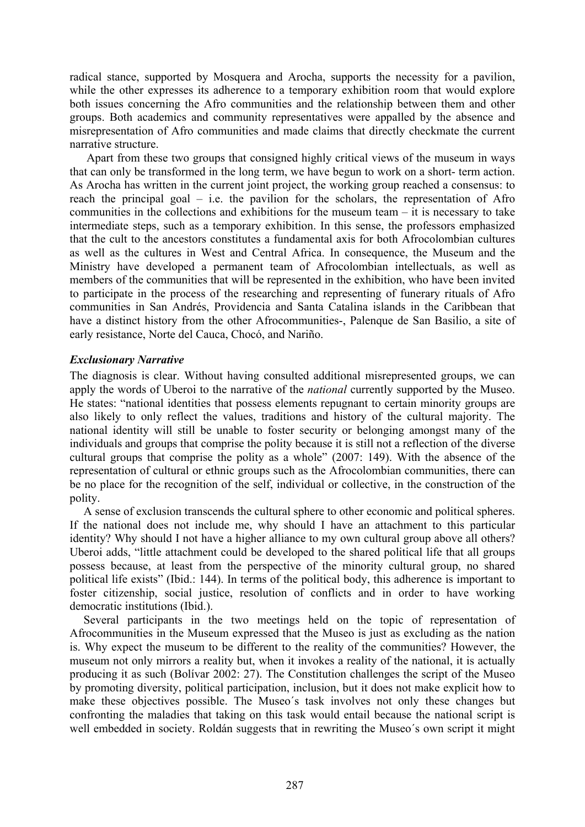radical stance, supported by Mosquera and Arocha, supports the necessity for a pavilion, while the other expresses its adherence to a temporary exhibition room that would explore both issues concerning the Afro communities and the relationship between them and other groups. Both academics and community representatives were appalled by the absence and misrepresentation of Afro communities and made claims that directly checkmate the current narrative structure.

 Apart from these two groups that consigned highly critical views of the museum in ways that can only be transformed in the long term, we have begun to work on a short- term action. As Arocha has written in the current joint project, the working group reached a consensus: to reach the principal goal – i.e. the pavilion for the scholars, the representation of Afro communities in the collections and exhibitions for the museum team – it is necessary to take intermediate steps, such as a temporary exhibition. In this sense, the professors emphasized that the cult to the ancestors constitutes a fundamental axis for both Afrocolombian cultures as well as the cultures in West and Central Africa. In consequence, the Museum and the Ministry have developed a permanent team of Afrocolombian intellectuals, as well as members of the communities that will be represented in the exhibition, who have been invited to participate in the process of the researching and representing of funerary rituals of Afro communities in San Andrés, Providencia and Santa Catalina islands in the Caribbean that have a distinct history from the other Afrocommunities-, Palenque de San Basilio, a site of early resistance, Norte del Cauca, Chocó, and Nariño.

## *Exclusionary Narrative*

The diagnosis is clear. Without having consulted additional misrepresented groups, we can apply the words of Uberoi to the narrative of the *national* currently supported by the Museo. He states: "national identities that possess elements repugnant to certain minority groups are also likely to only reflect the values, traditions and history of the cultural majority. The national identity will still be unable to foster security or belonging amongst many of the individuals and groups that comprise the polity because it is still not a reflection of the diverse cultural groups that comprise the polity as a whole" (2007: 149). With the absence of the representation of cultural or ethnic groups such as the Afrocolombian communities, there can be no place for the recognition of the self, individual or collective, in the construction of the polity.

A sense of exclusion transcends the cultural sphere to other economic and political spheres. If the national does not include me, why should I have an attachment to this particular identity? Why should I not have a higher alliance to my own cultural group above all others? Uberoi adds, "little attachment could be developed to the shared political life that all groups possess because, at least from the perspective of the minority cultural group, no shared political life exists" (Ibid.: 144). In terms of the political body, this adherence is important to foster citizenship, social justice, resolution of conflicts and in order to have working democratic institutions (Ibid.).

Several participants in the two meetings held on the topic of representation of Afrocommunities in the Museum expressed that the Museo is just as excluding as the nation is. Why expect the museum to be different to the reality of the communities? However, the museum not only mirrors a reality but, when it invokes a reality of the national, it is actually producing it as such (Bolívar 2002: 27). The Constitution challenges the script of the Museo by promoting diversity, political participation, inclusion, but it does not make explicit how to make these objectives possible. The Museo´s task involves not only these changes but confronting the maladies that taking on this task would entail because the national script is well embedded in society. Roldán suggests that in rewriting the Museo's own script it might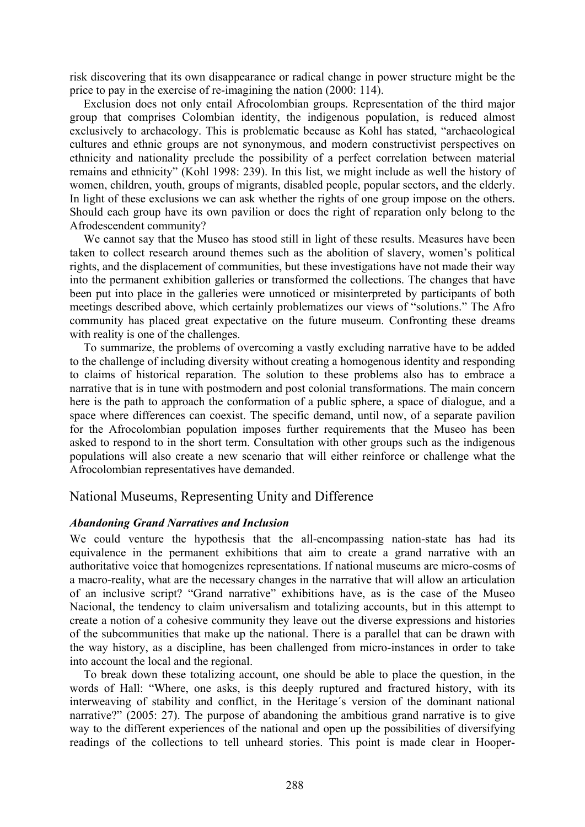risk discovering that its own disappearance or radical change in power structure might be the price to pay in the exercise of re-imagining the nation (2000: 114).

Exclusion does not only entail Afrocolombian groups. Representation of the third major group that comprises Colombian identity, the indigenous population, is reduced almost exclusively to archaeology. This is problematic because as Kohl has stated, "archaeological cultures and ethnic groups are not synonymous, and modern constructivist perspectives on ethnicity and nationality preclude the possibility of a perfect correlation between material remains and ethnicity" (Kohl 1998: 239). In this list, we might include as well the history of women, children, youth, groups of migrants, disabled people, popular sectors, and the elderly. In light of these exclusions we can ask whether the rights of one group impose on the others. Should each group have its own pavilion or does the right of reparation only belong to the Afrodescendent community?

We cannot say that the Museo has stood still in light of these results. Measures have been taken to collect research around themes such as the abolition of slavery, women's political rights, and the displacement of communities, but these investigations have not made their way into the permanent exhibition galleries or transformed the collections. The changes that have been put into place in the galleries were unnoticed or misinterpreted by participants of both meetings described above, which certainly problematizes our views of "solutions." The Afro community has placed great expectative on the future museum. Confronting these dreams with reality is one of the challenges.

To summarize, the problems of overcoming a vastly excluding narrative have to be added to the challenge of including diversity without creating a homogenous identity and responding to claims of historical reparation. The solution to these problems also has to embrace a narrative that is in tune with postmodern and post colonial transformations. The main concern here is the path to approach the conformation of a public sphere, a space of dialogue, and a space where differences can coexist. The specific demand, until now, of a separate pavilion for the Afrocolombian population imposes further requirements that the Museo has been asked to respond to in the short term. Consultation with other groups such as the indigenous populations will also create a new scenario that will either reinforce or challenge what the Afrocolombian representatives have demanded.

#### National Museums, Representing Unity and Difference

#### *Abandoning Grand Narratives and Inclusion*

We could venture the hypothesis that the all-encompassing nation-state has had its equivalence in the permanent exhibitions that aim to create a grand narrative with an authoritative voice that homogenizes representations. If national museums are micro-cosms of a macro-reality, what are the necessary changes in the narrative that will allow an articulation of an inclusive script? "Grand narrative" exhibitions have, as is the case of the Museo Nacional, the tendency to claim universalism and totalizing accounts, but in this attempt to create a notion of a cohesive community they leave out the diverse expressions and histories of the subcommunities that make up the national. There is a parallel that can be drawn with the way history, as a discipline, has been challenged from micro-instances in order to take into account the local and the regional.

To break down these totalizing account, one should be able to place the question, in the words of Hall: "Where, one asks, is this deeply ruptured and fractured history, with its interweaving of stability and conflict, in the Heritage´s version of the dominant national narrative?" (2005: 27). The purpose of abandoning the ambitious grand narrative is to give way to the different experiences of the national and open up the possibilities of diversifying readings of the collections to tell unheard stories. This point is made clear in Hooper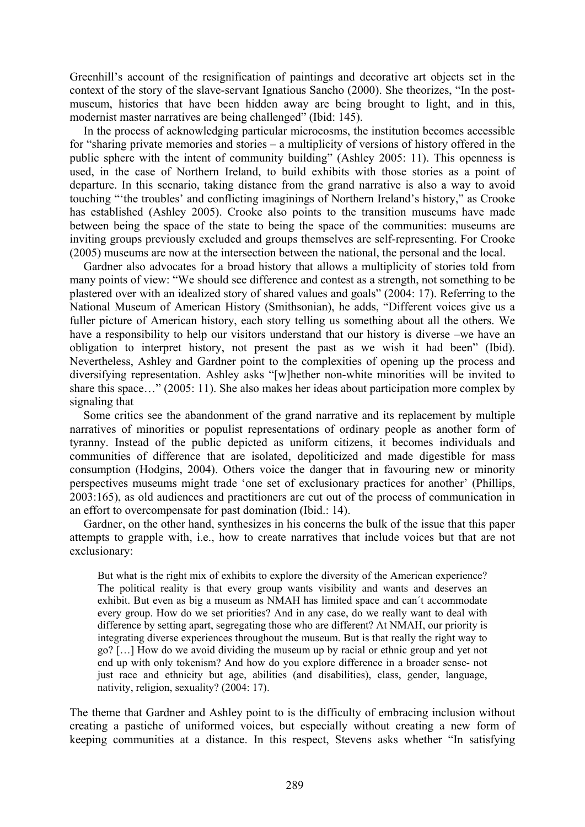Greenhill's account of the resignification of paintings and decorative art objects set in the context of the story of the slave-servant Ignatious Sancho (2000). She theorizes, "In the postmuseum, histories that have been hidden away are being brought to light, and in this, modernist master narratives are being challenged" (Ibid: 145).

In the process of acknowledging particular microcosms, the institution becomes accessible for "sharing private memories and stories – a multiplicity of versions of history offered in the public sphere with the intent of community building" (Ashley 2005: 11). This openness is used, in the case of Northern Ireland, to build exhibits with those stories as a point of departure. In this scenario, taking distance from the grand narrative is also a way to avoid touching "'the troubles' and conflicting imaginings of Northern Ireland's history," as Crooke has established (Ashley 2005). Crooke also points to the transition museums have made between being the space of the state to being the space of the communities: museums are inviting groups previously excluded and groups themselves are self-representing. For Crooke (2005) museums are now at the intersection between the national, the personal and the local.

Gardner also advocates for a broad history that allows a multiplicity of stories told from many points of view: "We should see difference and contest as a strength, not something to be plastered over with an idealized story of shared values and goals" (2004: 17). Referring to the National Museum of American History (Smithsonian), he adds, "Different voices give us a fuller picture of American history, each story telling us something about all the others. We have a responsibility to help our visitors understand that our history is diverse –we have an obligation to interpret history, not present the past as we wish it had been" (Ibid). Nevertheless, Ashley and Gardner point to the complexities of opening up the process and diversifying representation. Ashley asks "[w]hether non-white minorities will be invited to share this space…" (2005: 11). She also makes her ideas about participation more complex by signaling that

Some critics see the abandonment of the grand narrative and its replacement by multiple narratives of minorities or populist representations of ordinary people as another form of tyranny. Instead of the public depicted as uniform citizens, it becomes individuals and communities of difference that are isolated, depoliticized and made digestible for mass consumption (Hodgins, 2004). Others voice the danger that in favouring new or minority perspectives museums might trade 'one set of exclusionary practices for another' (Phillips, 2003:165), as old audiences and practitioners are cut out of the process of communication in an effort to overcompensate for past domination (Ibid.: 14).

Gardner, on the other hand, synthesizes in his concerns the bulk of the issue that this paper attempts to grapple with, i.e., how to create narratives that include voices but that are not exclusionary:

But what is the right mix of exhibits to explore the diversity of the American experience? The political reality is that every group wants visibility and wants and deserves an exhibit. But even as big a museum as NMAH has limited space and can´t accommodate every group. How do we set priorities? And in any case, do we really want to deal with difference by setting apart, segregating those who are different? At NMAH, our priority is integrating diverse experiences throughout the museum. But is that really the right way to go? […] How do we avoid dividing the museum up by racial or ethnic group and yet not end up with only tokenism? And how do you explore difference in a broader sense- not just race and ethnicity but age, abilities (and disabilities), class, gender, language, nativity, religion, sexuality? (2004: 17).

The theme that Gardner and Ashley point to is the difficulty of embracing inclusion without creating a pastiche of uniformed voices, but especially without creating a new form of keeping communities at a distance. In this respect, Stevens asks whether "In satisfying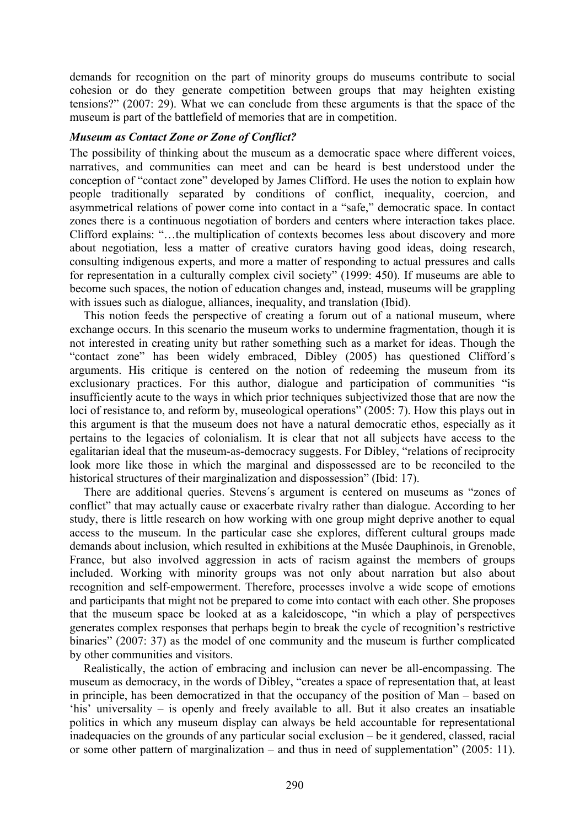demands for recognition on the part of minority groups do museums contribute to social cohesion or do they generate competition between groups that may heighten existing tensions?" (2007: 29). What we can conclude from these arguments is that the space of the museum is part of the battlefield of memories that are in competition.

#### *Museum as Contact Zone or Zone of Conflict?*

The possibility of thinking about the museum as a democratic space where different voices, narratives, and communities can meet and can be heard is best understood under the conception of "contact zone" developed by James Clifford. He uses the notion to explain how people traditionally separated by conditions of conflict, inequality, coercion, and asymmetrical relations of power come into contact in a "safe," democratic space. In contact zones there is a continuous negotiation of borders and centers where interaction takes place. Clifford explains: "…the multiplication of contexts becomes less about discovery and more about negotiation, less a matter of creative curators having good ideas, doing research, consulting indigenous experts, and more a matter of responding to actual pressures and calls for representation in a culturally complex civil society" (1999: 450). If museums are able to become such spaces, the notion of education changes and, instead, museums will be grappling with issues such as dialogue, alliances, inequality, and translation (Ibid).

This notion feeds the perspective of creating a forum out of a national museum, where exchange occurs. In this scenario the museum works to undermine fragmentation, though it is not interested in creating unity but rather something such as a market for ideas. Though the "contact zone" has been widely embraced, Dibley (2005) has questioned Clifford´s arguments. His critique is centered on the notion of redeeming the museum from its exclusionary practices. For this author, dialogue and participation of communities "is insufficiently acute to the ways in which prior techniques subjectivized those that are now the loci of resistance to, and reform by, museological operations" (2005: 7). How this plays out in this argument is that the museum does not have a natural democratic ethos, especially as it pertains to the legacies of colonialism. It is clear that not all subjects have access to the egalitarian ideal that the museum-as-democracy suggests. For Dibley, "relations of reciprocity look more like those in which the marginal and dispossessed are to be reconciled to the historical structures of their marginalization and dispossession" (Ibid: 17).

There are additional queries. Stevens´s argument is centered on museums as "zones of conflict" that may actually cause or exacerbate rivalry rather than dialogue. According to her study, there is little research on how working with one group might deprive another to equal access to the museum. In the particular case she explores, different cultural groups made demands about inclusion, which resulted in exhibitions at the Musée Dauphinois, in Grenoble, France, but also involved aggression in acts of racism against the members of groups included. Working with minority groups was not only about narration but also about recognition and self-empowerment. Therefore, processes involve a wide scope of emotions and participants that might not be prepared to come into contact with each other. She proposes that the museum space be looked at as a kaleidoscope, "in which a play of perspectives generates complex responses that perhaps begin to break the cycle of recognition's restrictive binaries" (2007: 37) as the model of one community and the museum is further complicated by other communities and visitors.

Realistically, the action of embracing and inclusion can never be all-encompassing. The museum as democracy, in the words of Dibley, "creates a space of representation that, at least in principle, has been democratized in that the occupancy of the position of Man – based on 'his' universality – is openly and freely available to all. But it also creates an insatiable politics in which any museum display can always be held accountable for representational inadequacies on the grounds of any particular social exclusion – be it gendered, classed, racial or some other pattern of marginalization – and thus in need of supplementation" (2005: 11).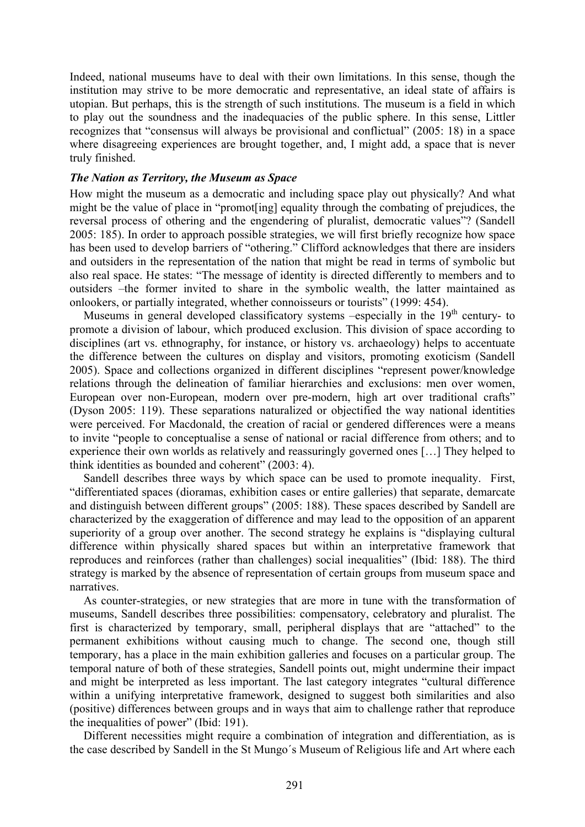Indeed, national museums have to deal with their own limitations. In this sense, though the institution may strive to be more democratic and representative, an ideal state of affairs is utopian. But perhaps, this is the strength of such institutions. The museum is a field in which to play out the soundness and the inadequacies of the public sphere. In this sense, Littler recognizes that "consensus will always be provisional and conflictual" (2005: 18) in a space where disagreeing experiences are brought together, and, I might add, a space that is never truly finished.

#### *The Nation as Territory, the Museum as Space*

How might the museum as a democratic and including space play out physically? And what might be the value of place in "promot[ing] equality through the combating of prejudices, the reversal process of othering and the engendering of pluralist, democratic values"? (Sandell 2005: 185). In order to approach possible strategies, we will first briefly recognize how space has been used to develop barriers of "othering." Clifford acknowledges that there are insiders and outsiders in the representation of the nation that might be read in terms of symbolic but also real space. He states: "The message of identity is directed differently to members and to outsiders –the former invited to share in the symbolic wealth, the latter maintained as onlookers, or partially integrated, whether connoisseurs or tourists" (1999: 454).

Museums in general developed classificatory systems –especially in the  $19<sup>th</sup>$  century- to promote a division of labour, which produced exclusion. This division of space according to disciplines (art vs. ethnography, for instance, or history vs. archaeology) helps to accentuate the difference between the cultures on display and visitors, promoting exoticism (Sandell 2005). Space and collections organized in different disciplines "represent power/knowledge relations through the delineation of familiar hierarchies and exclusions: men over women, European over non-European, modern over pre-modern, high art over traditional crafts" (Dyson 2005: 119). These separations naturalized or objectified the way national identities were perceived. For Macdonald, the creation of racial or gendered differences were a means to invite "people to conceptualise a sense of national or racial difference from others; and to experience their own worlds as relatively and reassuringly governed ones […] They helped to think identities as bounded and coherent" (2003: 4).

Sandell describes three ways by which space can be used to promote inequality. First, "differentiated spaces (dioramas, exhibition cases or entire galleries) that separate, demarcate and distinguish between different groups" (2005: 188). These spaces described by Sandell are characterized by the exaggeration of difference and may lead to the opposition of an apparent superiority of a group over another. The second strategy he explains is "displaying cultural difference within physically shared spaces but within an interpretative framework that reproduces and reinforces (rather than challenges) social inequalities" (Ibid: 188). The third strategy is marked by the absence of representation of certain groups from museum space and narratives.

As counter-strategies, or new strategies that are more in tune with the transformation of museums, Sandell describes three possibilities: compensatory, celebratory and pluralist. The first is characterized by temporary, small, peripheral displays that are "attached" to the permanent exhibitions without causing much to change. The second one, though still temporary, has a place in the main exhibition galleries and focuses on a particular group. The temporal nature of both of these strategies, Sandell points out, might undermine their impact and might be interpreted as less important. The last category integrates "cultural difference within a unifying interpretative framework, designed to suggest both similarities and also (positive) differences between groups and in ways that aim to challenge rather that reproduce the inequalities of power" (Ibid: 191).

Different necessities might require a combination of integration and differentiation, as is the case described by Sandell in the St Mungo´s Museum of Religious life and Art where each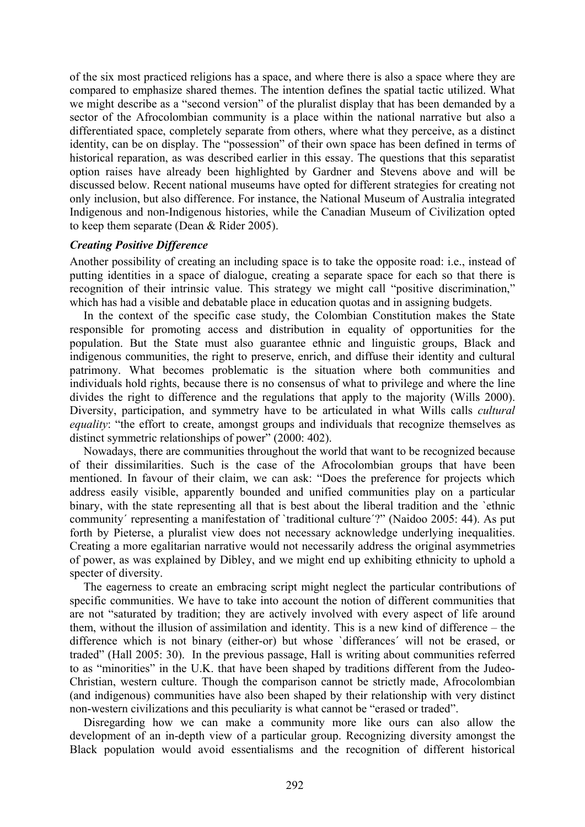of the six most practiced religions has a space, and where there is also a space where they are compared to emphasize shared themes. The intention defines the spatial tactic utilized. What we might describe as a "second version" of the pluralist display that has been demanded by a sector of the Afrocolombian community is a place within the national narrative but also a differentiated space, completely separate from others, where what they perceive, as a distinct identity, can be on display. The "possession" of their own space has been defined in terms of historical reparation, as was described earlier in this essay. The questions that this separatist option raises have already been highlighted by Gardner and Stevens above and will be discussed below. Recent national museums have opted for different strategies for creating not only inclusion, but also difference. For instance, the National Museum of Australia integrated Indigenous and non-Indigenous histories, while the Canadian Museum of Civilization opted to keep them separate (Dean & Rider 2005).

#### *Creating Positive Difference*

Another possibility of creating an including space is to take the opposite road: i.e., instead of putting identities in a space of dialogue, creating a separate space for each so that there is recognition of their intrinsic value. This strategy we might call "positive discrimination," which has had a visible and debatable place in education quotas and in assigning budgets.

In the context of the specific case study, the Colombian Constitution makes the State responsible for promoting access and distribution in equality of opportunities for the population. But the State must also guarantee ethnic and linguistic groups, Black and indigenous communities, the right to preserve, enrich, and diffuse their identity and cultural patrimony. What becomes problematic is the situation where both communities and individuals hold rights, because there is no consensus of what to privilege and where the line divides the right to difference and the regulations that apply to the majority (Wills 2000). Diversity, participation, and symmetry have to be articulated in what Wills calls *cultural equality*: "the effort to create, amongst groups and individuals that recognize themselves as distinct symmetric relationships of power" (2000: 402).

Nowadays, there are communities throughout the world that want to be recognized because of their dissimilarities. Such is the case of the Afrocolombian groups that have been mentioned. In favour of their claim, we can ask: "Does the preference for projects which address easily visible, apparently bounded and unified communities play on a particular binary, with the state representing all that is best about the liberal tradition and the `ethnic community´ representing a manifestation of `traditional culture´?" (Naidoo 2005: 44). As put forth by Pieterse, a pluralist view does not necessary acknowledge underlying inequalities. Creating a more egalitarian narrative would not necessarily address the original asymmetries of power, as was explained by Dibley, and we might end up exhibiting ethnicity to uphold a specter of diversity.

The eagerness to create an embracing script might neglect the particular contributions of specific communities. We have to take into account the notion of different communities that are not "saturated by tradition; they are actively involved with every aspect of life around them, without the illusion of assimilation and identity. This is a new kind of difference – the difference which is not binary (either-or) but whose `differances´ will not be erased, or traded" (Hall 2005: 30). In the previous passage, Hall is writing about communities referred to as "minorities" in the U.K. that have been shaped by traditions different from the Judeo-Christian, western culture. Though the comparison cannot be strictly made, Afrocolombian (and indigenous) communities have also been shaped by their relationship with very distinct non-western civilizations and this peculiarity is what cannot be "erased or traded".

Disregarding how we can make a community more like ours can also allow the development of an in-depth view of a particular group. Recognizing diversity amongst the Black population would avoid essentialisms and the recognition of different historical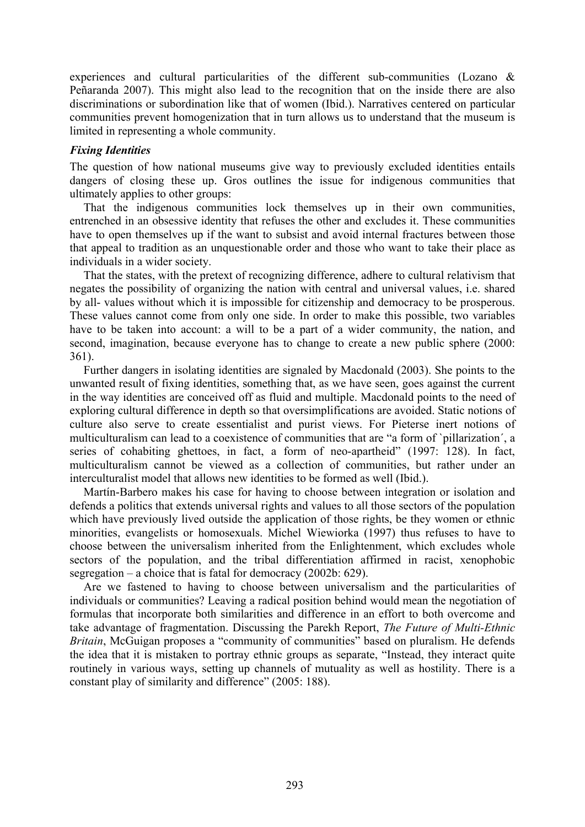experiences and cultural particularities of the different sub-communities (Lozano & Peñaranda 2007). This might also lead to the recognition that on the inside there are also discriminations or subordination like that of women (Ibid.). Narratives centered on particular communities prevent homogenization that in turn allows us to understand that the museum is limited in representing a whole community.

## *Fixing Identities*

The question of how national museums give way to previously excluded identities entails dangers of closing these up. Gros outlines the issue for indigenous communities that ultimately applies to other groups:

That the indigenous communities lock themselves up in their own communities, entrenched in an obsessive identity that refuses the other and excludes it. These communities have to open themselves up if the want to subsist and avoid internal fractures between those that appeal to tradition as an unquestionable order and those who want to take their place as individuals in a wider society.

That the states, with the pretext of recognizing difference, adhere to cultural relativism that negates the possibility of organizing the nation with central and universal values, i.e. shared by all- values without which it is impossible for citizenship and democracy to be prosperous. These values cannot come from only one side. In order to make this possible, two variables have to be taken into account: a will to be a part of a wider community, the nation, and second, imagination, because everyone has to change to create a new public sphere (2000: 361).

Further dangers in isolating identities are signaled by Macdonald (2003). She points to the unwanted result of fixing identities, something that, as we have seen, goes against the current in the way identities are conceived off as fluid and multiple. Macdonald points to the need of exploring cultural difference in depth so that oversimplifications are avoided. Static notions of culture also serve to create essentialist and purist views. For Pieterse inert notions of multiculturalism can lead to a coexistence of communities that are "a form of `pillarization´, a series of cohabiting ghettoes, in fact, a form of neo-apartheid" (1997: 128). In fact, multiculturalism cannot be viewed as a collection of communities, but rather under an interculturalist model that allows new identities to be formed as well (Ibid.).

Martín-Barbero makes his case for having to choose between integration or isolation and defends a politics that extends universal rights and values to all those sectors of the population which have previously lived outside the application of those rights, be they women or ethnic minorities, evangelists or homosexuals. Michel Wiewiorka (1997) thus refuses to have to choose between the universalism inherited from the Enlightenment, which excludes whole sectors of the population, and the tribal differentiation affirmed in racist, xenophobic segregation – a choice that is fatal for democracy (2002b: 629).

Are we fastened to having to choose between universalism and the particularities of individuals or communities? Leaving a radical position behind would mean the negotiation of formulas that incorporate both similarities and difference in an effort to both overcome and take advantage of fragmentation. Discussing the Parekh Report, *The Future of Multi-Ethnic Britain*, McGuigan proposes a "community of communities" based on pluralism. He defends the idea that it is mistaken to portray ethnic groups as separate, "Instead, they interact quite routinely in various ways, setting up channels of mutuality as well as hostility. There is a constant play of similarity and difference" (2005: 188).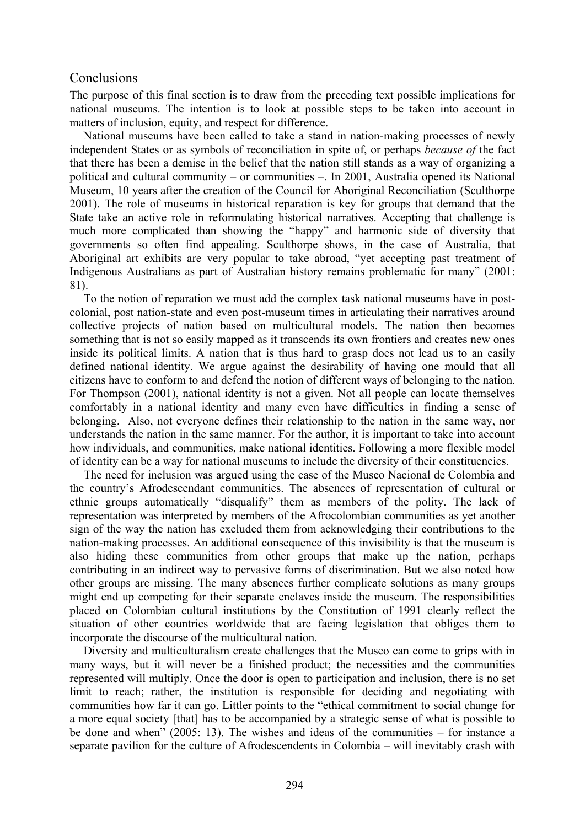## **Conclusions**

The purpose of this final section is to draw from the preceding text possible implications for national museums. The intention is to look at possible steps to be taken into account in matters of inclusion, equity, and respect for difference.

National museums have been called to take a stand in nation-making processes of newly independent States or as symbols of reconciliation in spite of, or perhaps *because of* the fact that there has been a demise in the belief that the nation still stands as a way of organizing a political and cultural community – or communities –. In 2001, Australia opened its National Museum, 10 years after the creation of the Council for Aboriginal Reconciliation (Sculthorpe 2001). The role of museums in historical reparation is key for groups that demand that the State take an active role in reformulating historical narratives. Accepting that challenge is much more complicated than showing the "happy" and harmonic side of diversity that governments so often find appealing. Sculthorpe shows, in the case of Australia, that Aboriginal art exhibits are very popular to take abroad, "yet accepting past treatment of Indigenous Australians as part of Australian history remains problematic for many" (2001: 81).

To the notion of reparation we must add the complex task national museums have in postcolonial, post nation-state and even post-museum times in articulating their narratives around collective projects of nation based on multicultural models. The nation then becomes something that is not so easily mapped as it transcends its own frontiers and creates new ones inside its political limits. A nation that is thus hard to grasp does not lead us to an easily defined national identity. We argue against the desirability of having one mould that all citizens have to conform to and defend the notion of different ways of belonging to the nation. For Thompson (2001), national identity is not a given. Not all people can locate themselves comfortably in a national identity and many even have difficulties in finding a sense of belonging. Also, not everyone defines their relationship to the nation in the same way, nor understands the nation in the same manner. For the author, it is important to take into account how individuals, and communities, make national identities. Following a more flexible model of identity can be a way for national museums to include the diversity of their constituencies.

The need for inclusion was argued using the case of the Museo Nacional de Colombia and the country's Afrodescendant communities. The absences of representation of cultural or ethnic groups automatically "disqualify" them as members of the polity. The lack of representation was interpreted by members of the Afrocolombian communities as yet another sign of the way the nation has excluded them from acknowledging their contributions to the nation-making processes. An additional consequence of this invisibility is that the museum is also hiding these communities from other groups that make up the nation, perhaps contributing in an indirect way to pervasive forms of discrimination. But we also noted how other groups are missing. The many absences further complicate solutions as many groups might end up competing for their separate enclaves inside the museum. The responsibilities placed on Colombian cultural institutions by the Constitution of 1991 clearly reflect the situation of other countries worldwide that are facing legislation that obliges them to incorporate the discourse of the multicultural nation.

Diversity and multiculturalism create challenges that the Museo can come to grips with in many ways, but it will never be a finished product; the necessities and the communities represented will multiply. Once the door is open to participation and inclusion, there is no set limit to reach; rather, the institution is responsible for deciding and negotiating with communities how far it can go. Littler points to the "ethical commitment to social change for a more equal society [that] has to be accompanied by a strategic sense of what is possible to be done and when" (2005: 13). The wishes and ideas of the communities – for instance a separate pavilion for the culture of Afrodescendents in Colombia – will inevitably crash with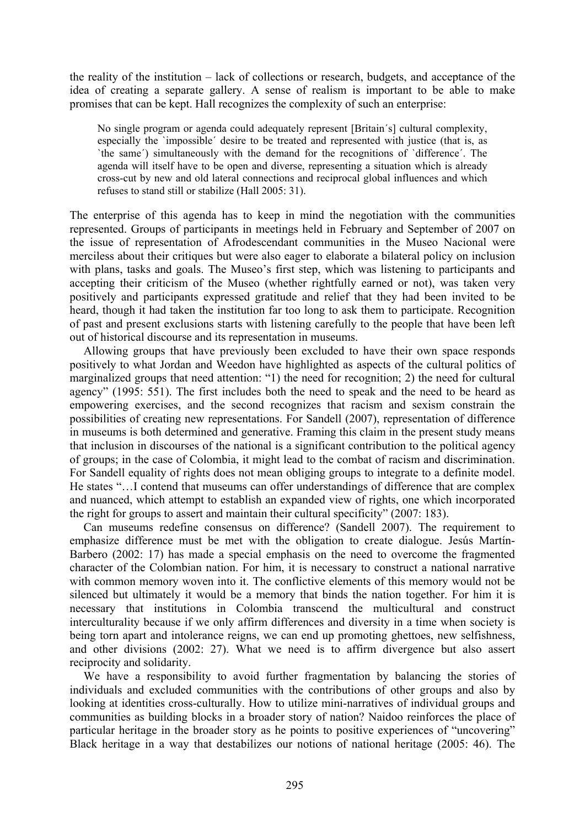the reality of the institution – lack of collections or research, budgets, and acceptance of the idea of creating a separate gallery. A sense of realism is important to be able to make promises that can be kept. Hall recognizes the complexity of such an enterprise:

No single program or agenda could adequately represent [Britain´s] cultural complexity, especially the `impossible´ desire to be treated and represented with justice (that is, as `the same´) simultaneously with the demand for the recognitions of `difference´. The agenda will itself have to be open and diverse, representing a situation which is already cross-cut by new and old lateral connections and reciprocal global influences and which refuses to stand still or stabilize (Hall 2005: 31).

The enterprise of this agenda has to keep in mind the negotiation with the communities represented. Groups of participants in meetings held in February and September of 2007 on the issue of representation of Afrodescendant communities in the Museo Nacional were merciless about their critiques but were also eager to elaborate a bilateral policy on inclusion with plans, tasks and goals. The Museo's first step, which was listening to participants and accepting their criticism of the Museo (whether rightfully earned or not), was taken very positively and participants expressed gratitude and relief that they had been invited to be heard, though it had taken the institution far too long to ask them to participate. Recognition of past and present exclusions starts with listening carefully to the people that have been left out of historical discourse and its representation in museums.

Allowing groups that have previously been excluded to have their own space responds positively to what Jordan and Weedon have highlighted as aspects of the cultural politics of marginalized groups that need attention: "1) the need for recognition; 2) the need for cultural agency" (1995: 551). The first includes both the need to speak and the need to be heard as empowering exercises, and the second recognizes that racism and sexism constrain the possibilities of creating new representations. For Sandell (2007), representation of difference in museums is both determined and generative. Framing this claim in the present study means that inclusion in discourses of the national is a significant contribution to the political agency of groups; in the case of Colombia, it might lead to the combat of racism and discrimination. For Sandell equality of rights does not mean obliging groups to integrate to a definite model. He states "…I contend that museums can offer understandings of difference that are complex and nuanced, which attempt to establish an expanded view of rights, one which incorporated the right for groups to assert and maintain their cultural specificity" (2007: 183).

Can museums redefine consensus on difference? (Sandell 2007). The requirement to emphasize difference must be met with the obligation to create dialogue. Jesús Martín-Barbero (2002: 17) has made a special emphasis on the need to overcome the fragmented character of the Colombian nation. For him, it is necessary to construct a national narrative with common memory woven into it. The conflictive elements of this memory would not be silenced but ultimately it would be a memory that binds the nation together. For him it is necessary that institutions in Colombia transcend the multicultural and construct interculturality because if we only affirm differences and diversity in a time when society is being torn apart and intolerance reigns, we can end up promoting ghettoes, new selfishness, and other divisions (2002: 27). What we need is to affirm divergence but also assert reciprocity and solidarity.

We have a responsibility to avoid further fragmentation by balancing the stories of individuals and excluded communities with the contributions of other groups and also by looking at identities cross-culturally. How to utilize mini-narratives of individual groups and communities as building blocks in a broader story of nation? Naidoo reinforces the place of particular heritage in the broader story as he points to positive experiences of "uncovering" Black heritage in a way that destabilizes our notions of national heritage (2005: 46). The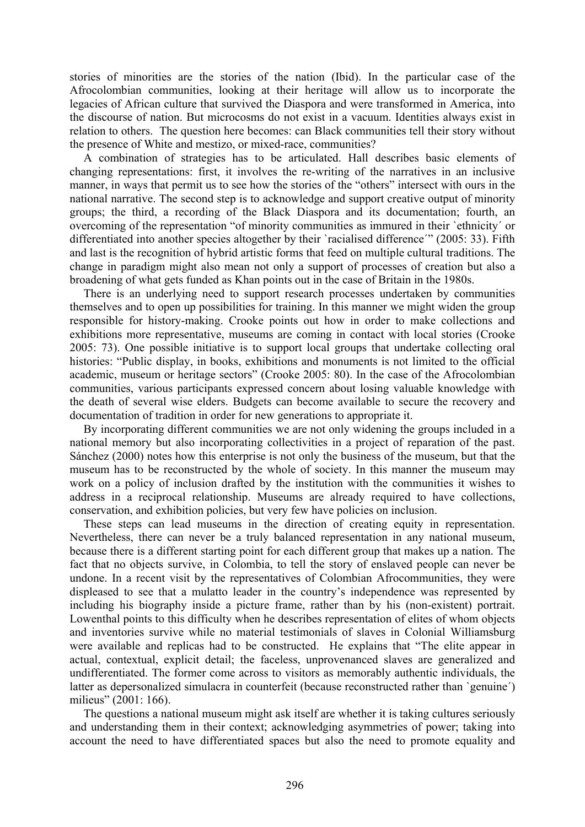stories of minorities are the stories of the nation (Ibid). In the particular case of the Afrocolombian communities, looking at their heritage will allow us to incorporate the legacies of African culture that survived the Diaspora and were transformed in America, into the discourse of nation. But microcosms do not exist in a vacuum. Identities always exist in relation to others. The question here becomes: can Black communities tell their story without the presence of White and mestizo, or mixed-race, communities?

A combination of strategies has to be articulated. Hall describes basic elements of changing representations: first, it involves the re-writing of the narratives in an inclusive manner, in ways that permit us to see how the stories of the "others" intersect with ours in the national narrative. The second step is to acknowledge and support creative output of minority groups; the third, a recording of the Black Diaspora and its documentation; fourth, an overcoming of the representation "of minority communities as immured in their `ethnicity´ or differentiated into another species altogether by their 'racialised difference'" (2005: 33). Fifth and last is the recognition of hybrid artistic forms that feed on multiple cultural traditions. The change in paradigm might also mean not only a support of processes of creation but also a broadening of what gets funded as Khan points out in the case of Britain in the 1980s.

There is an underlying need to support research processes undertaken by communities themselves and to open up possibilities for training. In this manner we might widen the group responsible for history-making. Crooke points out how in order to make collections and exhibitions more representative, museums are coming in contact with local stories (Crooke 2005: 73). One possible initiative is to support local groups that undertake collecting oral histories: "Public display, in books, exhibitions and monuments is not limited to the official academic, museum or heritage sectors" (Crooke 2005: 80). In the case of the Afrocolombian communities, various participants expressed concern about losing valuable knowledge with the death of several wise elders. Budgets can become available to secure the recovery and documentation of tradition in order for new generations to appropriate it.

By incorporating different communities we are not only widening the groups included in a national memory but also incorporating collectivities in a project of reparation of the past. Sánchez (2000) notes how this enterprise is not only the business of the museum, but that the museum has to be reconstructed by the whole of society. In this manner the museum may work on a policy of inclusion drafted by the institution with the communities it wishes to address in a reciprocal relationship. Museums are already required to have collections, conservation, and exhibition policies, but very few have policies on inclusion.

These steps can lead museums in the direction of creating equity in representation. Nevertheless, there can never be a truly balanced representation in any national museum, because there is a different starting point for each different group that makes up a nation. The fact that no objects survive, in Colombia, to tell the story of enslaved people can never be undone. In a recent visit by the representatives of Colombian Afrocommunities, they were displeased to see that a mulatto leader in the country's independence was represented by including his biography inside a picture frame, rather than by his (non-existent) portrait. Lowenthal points to this difficulty when he describes representation of elites of whom objects and inventories survive while no material testimonials of slaves in Colonial Williamsburg were available and replicas had to be constructed. He explains that "The elite appear in actual, contextual, explicit detail; the faceless, unprovenanced slaves are generalized and undifferentiated. The former come across to visitors as memorably authentic individuals, the latter as depersonalized simulacra in counterfeit (because reconstructed rather than `genuine´) milieus" (2001: 166).

The questions a national museum might ask itself are whether it is taking cultures seriously and understanding them in their context; acknowledging asymmetries of power; taking into account the need to have differentiated spaces but also the need to promote equality and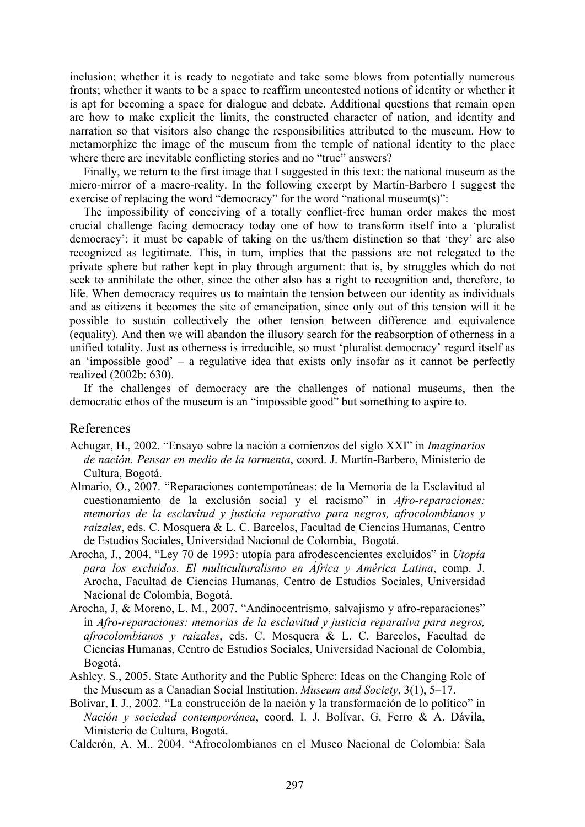inclusion; whether it is ready to negotiate and take some blows from potentially numerous fronts; whether it wants to be a space to reaffirm uncontested notions of identity or whether it is apt for becoming a space for dialogue and debate. Additional questions that remain open are how to make explicit the limits, the constructed character of nation, and identity and narration so that visitors also change the responsibilities attributed to the museum. How to metamorphize the image of the museum from the temple of national identity to the place where there are inevitable conflicting stories and no "true" answers?

Finally, we return to the first image that I suggested in this text: the national museum as the micro-mirror of a macro-reality. In the following excerpt by Martín-Barbero I suggest the exercise of replacing the word "democracy" for the word "national museum(s)":

The impossibility of conceiving of a totally conflict-free human order makes the most crucial challenge facing democracy today one of how to transform itself into a 'pluralist democracy': it must be capable of taking on the us/them distinction so that 'they' are also recognized as legitimate. This, in turn, implies that the passions are not relegated to the private sphere but rather kept in play through argument: that is, by struggles which do not seek to annihilate the other, since the other also has a right to recognition and, therefore, to life. When democracy requires us to maintain the tension between our identity as individuals and as citizens it becomes the site of emancipation, since only out of this tension will it be possible to sustain collectively the other tension between difference and equivalence (equality). And then we will abandon the illusory search for the reabsorption of otherness in a unified totality. Just as otherness is irreducible, so must 'pluralist democracy' regard itself as an 'impossible good' – a regulative idea that exists only insofar as it cannot be perfectly realized (2002b: 630).

If the challenges of democracy are the challenges of national museums, then the democratic ethos of the museum is an "impossible good" but something to aspire to.

## References

- Achugar, H., 2002. "Ensayo sobre la nación a comienzos del siglo XXI" in *Imaginarios de nación. Pensar en medio de la tormenta*, coord. J. Martín-Barbero, Ministerio de Cultura, Bogotá.
- Almario, O., 2007. "Reparaciones contemporáneas: de la Memoria de la Esclavitud al cuestionamiento de la exclusión social y el racismo" in *Afro-reparaciones: memorias de la esclavitud y justicia reparativa para negros, afrocolombianos y raizales*, eds. C. Mosquera & L. C. Barcelos, Facultad de Ciencias Humanas, Centro de Estudios Sociales, Universidad Nacional de Colombia, Bogotá.
- Arocha, J., 2004. "Ley 70 de 1993: utopía para afrodescencientes excluidos" in *Utopía para los excluidos. El multiculturalismo en África y América Latina*, comp. J. Arocha, Facultad de Ciencias Humanas, Centro de Estudios Sociales, Universidad Nacional de Colombia, Bogotá.
- Arocha, J, & Moreno, L. M., 2007. "Andinocentrismo, salvajismo y afro-reparaciones" in *Afro-reparaciones: memorias de la esclavitud y justicia reparativa para negros, afrocolombianos y raizales*, eds. C. Mosquera & L. C. Barcelos, Facultad de Ciencias Humanas, Centro de Estudios Sociales, Universidad Nacional de Colombia, Bogotá.
- Ashley, S., 2005. State Authority and the Public Sphere: Ideas on the Changing Role of the Museum as a Canadian Social Institution. *Museum and Society*, 3(1), 5–17.
- Bolívar, I. J., 2002. "La construcción de la nación y la transformación de lo político" in *Nación y sociedad contemporánea*, coord. I. J. Bolívar, G. Ferro & A. Dávila, Ministerio de Cultura, Bogotá.
- Calderón, A. M., 2004. "Afrocolombianos en el Museo Nacional de Colombia: Sala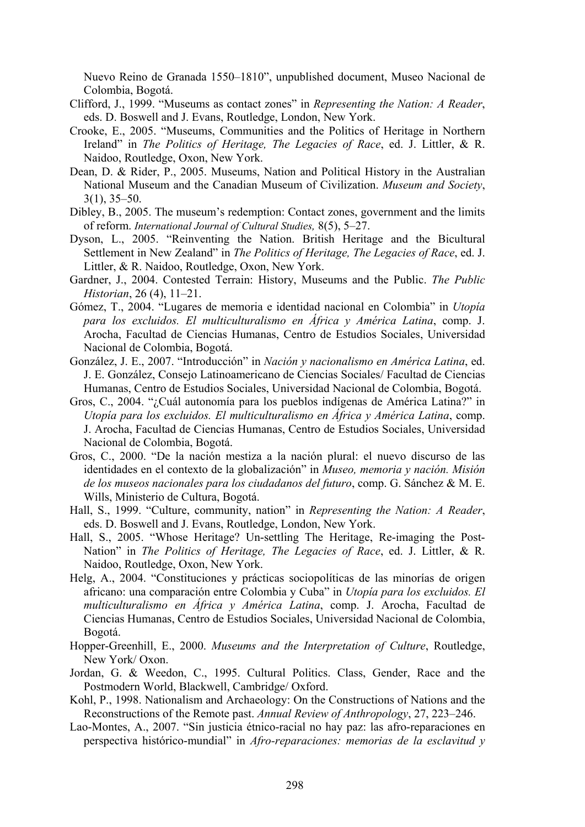Nuevo Reino de Granada 1550–1810", unpublished document, Museo Nacional de Colombia, Bogotá.

- Clifford, J., 1999. "Museums as contact zones" in *Representing the Nation: A Reader*, eds. D. Boswell and J. Evans, Routledge, London, New York.
- Crooke, E., 2005. "Museums, Communities and the Politics of Heritage in Northern Ireland" in *The Politics of Heritage, The Legacies of Race*, ed. J. Littler, & R. Naidoo, Routledge, Oxon, New York.
- Dean, D. & Rider, P., 2005. Museums, Nation and Political History in the Australian National Museum and the Canadian Museum of Civilization. *Museum and Society*, 3(1), 35–50.
- Dibley, B., 2005. The museum's redemption: Contact zones, government and the limits of reform. *International Journal of Cultural Studies,* 8(5), 5–27.
- Dyson, L., 2005. "Reinventing the Nation. British Heritage and the Bicultural Settlement in New Zealand" in *The Politics of Heritage, The Legacies of Race*, ed. J. Littler, & R. Naidoo, Routledge, Oxon, New York.
- Gardner, J., 2004. Contested Terrain: History, Museums and the Public. *The Public Historian*, 26 (4), 11–21.
- Gómez, T., 2004. "Lugares de memoria e identidad nacional en Colombia" in *Utopía para los excluidos. El multiculturalismo en África y América Latina*, comp. J. Arocha, Facultad de Ciencias Humanas, Centro de Estudios Sociales, Universidad Nacional de Colombia, Bogotá.
- González, J. E., 2007. "Introducción" in *Nación y nacionalismo en América Latina*, ed. J. E. González, Consejo Latinoamericano de Ciencias Sociales/ Facultad de Ciencias Humanas, Centro de Estudios Sociales, Universidad Nacional de Colombia, Bogotá.
- Gros, C., 2004. "¿Cuál autonomía para los pueblos indígenas de América Latina?" in *Utopía para los excluidos. El multiculturalismo en África y América Latina*, comp. J. Arocha, Facultad de Ciencias Humanas, Centro de Estudios Sociales, Universidad Nacional de Colombia, Bogotá.
- Gros, C., 2000. "De la nación mestiza a la nación plural: el nuevo discurso de las identidades en el contexto de la globalización" in *Museo, memoria y nación. Misión de los museos nacionales para los ciudadanos del futuro*, comp. G. Sánchez & M. E. Wills, Ministerio de Cultura, Bogotá.
- Hall, S., 1999. "Culture, community, nation" in *Representing the Nation: A Reader*, eds. D. Boswell and J. Evans, Routledge, London, New York.
- Hall, S., 2005. "Whose Heritage? Un-settling The Heritage, Re-imaging the Post-Nation" in *The Politics of Heritage, The Legacies of Race*, ed. J. Littler, & R. Naidoo, Routledge, Oxon, New York.
- Helg, A., 2004. "Constituciones y prácticas sociopolíticas de las minorías de origen africano: una comparación entre Colombia y Cuba" in *Utopía para los excluidos. El multiculturalismo en África y América Latina*, comp. J. Arocha, Facultad de Ciencias Humanas, Centro de Estudios Sociales, Universidad Nacional de Colombia, Bogotá.
- Hopper-Greenhill, E., 2000. *Museums and the Interpretation of Culture*, Routledge, New York/ Oxon.
- Jordan, G. & Weedon, C., 1995. Cultural Politics. Class, Gender, Race and the Postmodern World, Blackwell, Cambridge/ Oxford.
- Kohl, P., 1998. Nationalism and Archaeology: On the Constructions of Nations and the Reconstructions of the Remote past. *Annual Review of Anthropology*, 27, 223–246.
- Lao-Montes, A., 2007. "Sin justicia étnico-racial no hay paz: las afro-reparaciones en perspectiva histórico-mundial" in *Afro-reparaciones: memorias de la esclavitud y*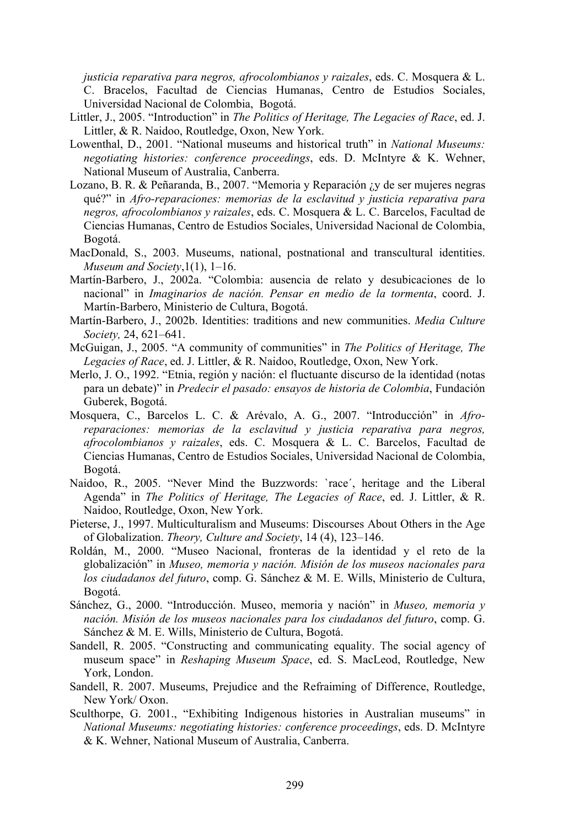*justicia reparativa para negros, afrocolombianos y raizales*, eds. C. Mosquera & L. C. Bracelos, Facultad de Ciencias Humanas, Centro de Estudios Sociales, Universidad Nacional de Colombia, Bogotá.

- Littler, J., 2005. "Introduction" in *The Politics of Heritage, The Legacies of Race*, ed. J. Littler, & R. Naidoo, Routledge, Oxon, New York.
- Lowenthal, D., 2001. "National museums and historical truth" in *National Museums: negotiating histories: conference proceedings*, eds. D. McIntyre & K. Wehner, National Museum of Australia, Canberra.
- Lozano, B. R. & Peñaranda, B., 2007. "Memoria y Reparación ¿y de ser mujeres negras qué?" in *Afro-reparaciones: memorias de la esclavitud y justicia reparativa para negros, afrocolombianos y raizales*, eds. C. Mosquera & L. C. Barcelos, Facultad de Ciencias Humanas, Centro de Estudios Sociales, Universidad Nacional de Colombia, Bogotá.
- MacDonald, S., 2003. Museums, national, postnational and transcultural identities. *Museum and Society*,1(1), 1–16.
- Martín-Barbero, J., 2002a. "Colombia: ausencia de relato y desubicaciones de lo nacional" in *Imaginarios de nación. Pensar en medio de la tormenta*, coord. J. Martín-Barbero, Ministerio de Cultura, Bogotá.
- Martín-Barbero, J., 2002b. Identities: traditions and new communities. *Media Culture Society,* 24, 621–641.
- McGuigan, J., 2005. "A community of communities" in *The Politics of Heritage, The Legacies of Race*, ed. J. Littler, & R. Naidoo, Routledge, Oxon, New York.
- Merlo, J. O., 1992. "Etnia, región y nación: el fluctuante discurso de la identidad (notas para un debate)" in *Predecir el pasado: ensayos de historia de Colombia*, Fundación Guberek, Bogotá.
- Mosquera, C., Barcelos L. C. & Arévalo, A. G., 2007. "Introducción" in *Afroreparaciones: memorias de la esclavitud y justicia reparativa para negros, afrocolombianos y raizales*, eds. C. Mosquera & L. C. Barcelos, Facultad de Ciencias Humanas, Centro de Estudios Sociales, Universidad Nacional de Colombia, Bogotá.
- Naidoo, R., 2005. "Never Mind the Buzzwords: `race´, heritage and the Liberal Agenda" in *The Politics of Heritage, The Legacies of Race*, ed. J. Littler, & R. Naidoo, Routledge, Oxon, New York.
- Pieterse, J., 1997. Multiculturalism and Museums: Discourses About Others in the Age of Globalization. *Theory, Culture and Society*, 14 (4), 123–146.
- Roldán, M., 2000. "Museo Nacional, fronteras de la identidad y el reto de la globalización" in *Museo, memoria y nación. Misión de los museos nacionales para los ciudadanos del futuro*, comp. G. Sánchez & M. E. Wills, Ministerio de Cultura, Bogotá.
- Sánchez, G., 2000. "Introducción. Museo, memoria y nación" in *Museo, memoria y nación. Misión de los museos nacionales para los ciudadanos del futuro*, comp. G. Sánchez & M. E. Wills, Ministerio de Cultura, Bogotá.
- Sandell, R. 2005. "Constructing and communicating equality. The social agency of museum space" in *Reshaping Museum Space*, ed. S. MacLeod, Routledge, New York, London.
- Sandell, R. 2007. Museums, Prejudice and the Refraiming of Difference, Routledge, New York/ Oxon.
- Sculthorpe, G. 2001., "Exhibiting Indigenous histories in Australian museums" in *National Museums: negotiating histories: conference proceedings*, eds. D. McIntyre & K. Wehner, National Museum of Australia, Canberra.